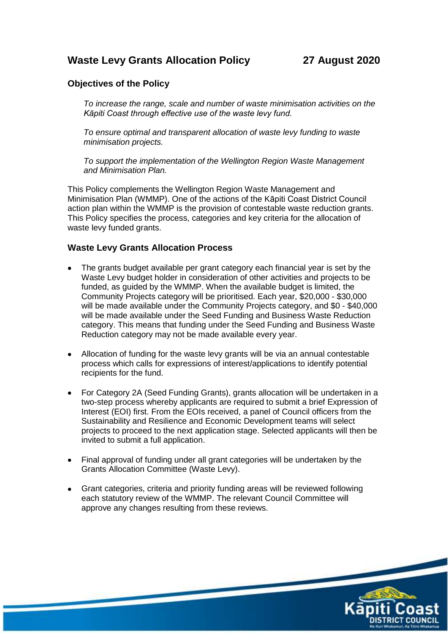# **Waste Levy Grants Allocation Policy 27 August 2020**

## **Objectives of the Policy**

*To increase the range, scale and number of waste minimisation activities on the Kāpiti Coast through effective use of the waste levy fund.*

*To ensure optimal and transparent allocation of waste levy funding to waste minimisation projects.* 

*To support the implementation of the Wellington Region Waste Management and Minimisation Plan.*

This Policy complements the Wellington Region Waste Management and Minimisation Plan (WMMP). One of the actions of the Kāpiti Coast District Council action plan within the WMMP is the provision of contestable waste reduction grants. This Policy specifies the process, categories and key criteria for the allocation of waste levy funded grants.

### **Waste Levy Grants Allocation Process**

- The grants budget available per grant category each financial year is set by the Waste Levy budget holder in consideration of other activities and projects to be funded, as guided by the WMMP. When the available budget is limited, the Community Projects category will be prioritised. Each year, \$20,000 - \$30,000 will be made available under the Community Projects category, and \$0 - \$40,000 will be made available under the Seed Funding and Business Waste Reduction category. This means that funding under the Seed Funding and Business Waste Reduction category may not be made available every year.
- Allocation of funding for the waste levy grants will be via an annual contestable process which calls for expressions of interest/applications to identify potential recipients for the fund.
- For Category 2A (Seed Funding Grants), grants allocation will be undertaken in a two-step process whereby applicants are required to submit a brief Expression of Interest (EOI) first. From the EOIs received, a panel of Council officers from the Sustainability and Resilience and Economic Development teams will select projects to proceed to the next application stage. Selected applicants will then be invited to submit a full application.
- Final approval of funding under all grant categories will be undertaken by the Grants Allocation Committee (Waste Levy).
- Grant categories, criteria and priority funding areas will be reviewed following each statutory review of the WMMP. The relevant Council Committee will approve any changes resulting from these reviews.

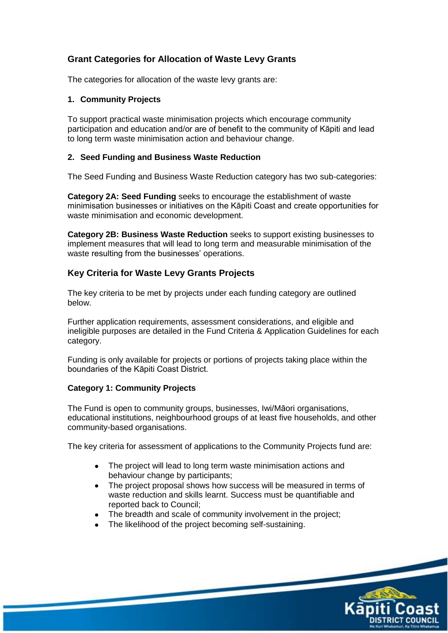## **Grant Categories for Allocation of Waste Levy Grants**

The categories for allocation of the waste levy grants are:

### **1. Community Projects**

To support practical waste minimisation projects which encourage community participation and education and/or are of benefit to the community of Kāpiti and lead to long term waste minimisation action and behaviour change.

### **2. Seed Funding and Business Waste Reduction**

The Seed Funding and Business Waste Reduction category has two sub-categories:

**Category 2A: Seed Funding** seeks to encourage the establishment of waste minimisation businesses or initiatives on the Kāpiti Coast and create opportunities for waste minimisation and economic development.

**Category 2B: Business Waste Reduction** seeks to support existing businesses to implement measures that will lead to long term and measurable minimisation of the waste resulting from the businesses' operations.

## **Key Criteria for Waste Levy Grants Projects**

The key criteria to be met by projects under each funding category are outlined below.

Further application requirements, assessment considerations, and eligible and ineligible purposes are detailed in the Fund Criteria & Application Guidelines for each category.

Funding is only available for projects or portions of projects taking place within the boundaries of the Kāpiti Coast District.

## **Category 1: Community Projects**

The Fund is open to community groups, businesses, Iwi/Māori organisations, educational institutions, neighbourhood groups of at least five households, and other community-based organisations.

The key criteria for assessment of applications to the Community Projects fund are:

- The project will lead to long term waste minimisation actions and behaviour change by participants;
- The project proposal shows how success will be measured in terms of waste reduction and skills learnt. Success must be quantifiable and reported back to Council;
- The breadth and scale of community involvement in the project;
- The likelihood of the project becoming self-sustaining.